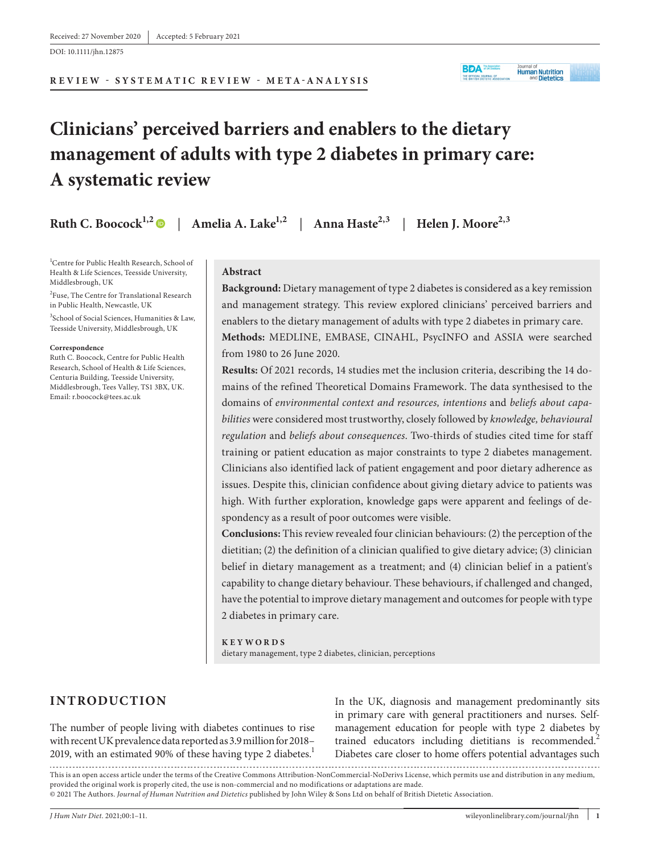DOI: 10.1111/jhn.12875

# **Clinicians' perceived barriers and enablers to the dietary management of adults with type 2 diabetes in primary care: A systematic review**

**Ruth C. Boocock**<sup>1,2</sup> | Amelia A. Lake<sup>1,2</sup> | Anna Haste<sup>2,3</sup> | Helen J. Moore<sup>2,3</sup>

1 Centre for Public Health Research, School of Health & Life Sciences, Teesside University, Middlesbrough, UK

2 Fuse, The Centre for Translational Research in Public Health, Newcastle, UK

3 School of Social Sciences, Humanities & Law, Teesside University, Middlesbrough, UK

#### **Correspondence**

Ruth C. Boocock, Centre for Public Health Research, School of Health & Life Sciences, Centuria Building, Teesside University, Middlesbrough, Tees Valley, TS1 3BX, UK. Email: [r.boocock@tees.ac.uk](mailto:r.boocock@tees.ac.uk)

#### **Abstract**

**Background:** Dietary management of type 2 diabetes is considered as a key remission and management strategy. This review explored clinicians' perceived barriers and enablers to the dietary management of adults with type 2 diabetes in primary care. **Methods:** MEDLINE, EMBASE, CINAHL, PsycINFO and ASSIA were searched from 1980 to 26 June 2020.

**BDA** *Huk Distins* 

THE OFFICIAL JOURNAL OF

Journal of<br>**Human Nutrition** 

and **Dietetics** 

**Results:** Of 2021 records, 14 studies met the inclusion criteria, describing the 14 domains of the refined Theoretical Domains Framework. The data synthesised to the domains of *environmental context and resources, intentions* and *beliefs about capabilities* were considered most trustworthy, closely followed by *knowledge, behavioural regulation* and *beliefs about consequences*. Two-thirds of studies cited time for staff training or patient education as major constraints to type 2 diabetes management. Clinicians also identified lack of patient engagement and poor dietary adherence as issues. Despite this, clinician confidence about giving dietary advice to patients was high. With further exploration, knowledge gaps were apparent and feelings of despondency as a result of poor outcomes were visible.

**Conclusions:** This review revealed four clinician behaviours: (2) the perception of the dietitian; (2) the definition of a clinician qualified to give dietary advice; (3) clinician belief in dietary management as a treatment; and (4) clinician belief in a patient's capability to change dietary behaviour. These behaviours, if challenged and changed, have the potential to improve dietary management and outcomes for people with type 2 diabetes in primary care.

**KEYWORDS** dietary management, type 2 diabetes, clinician, perceptions

# **INTRODUCTION**

The number of people living with diabetes continues to rise with recent UK prevalence data reported as 3.9 million for 2018– 2019, with an estimated 90% of these having type 2 diabetes. $<sup>1</sup>$ </sup>

In the UK, diagnosis and management predominantly sits in primary care with general practitioners and nurses. Selfmanagement education for people with type 2 diabetes by trained educators including dietitians is recommended.<sup>2</sup> Diabetes care closer to home offers potential advantages such

This is an open access article under the terms of the [Creative Commons Attribution-NonCommercial-NoDerivs](http://creativecommons.org/licenses/by-nc-nd/4.0/) License, which permits use and distribution in any medium, provided the original work is properly cited, the use is non-commercial and no modifications or adaptations are made. © 2021 The Authors. *Journal of Human Nutrition and Dietetics* published by John Wiley & Sons Ltd on behalf of British Dietetic Association.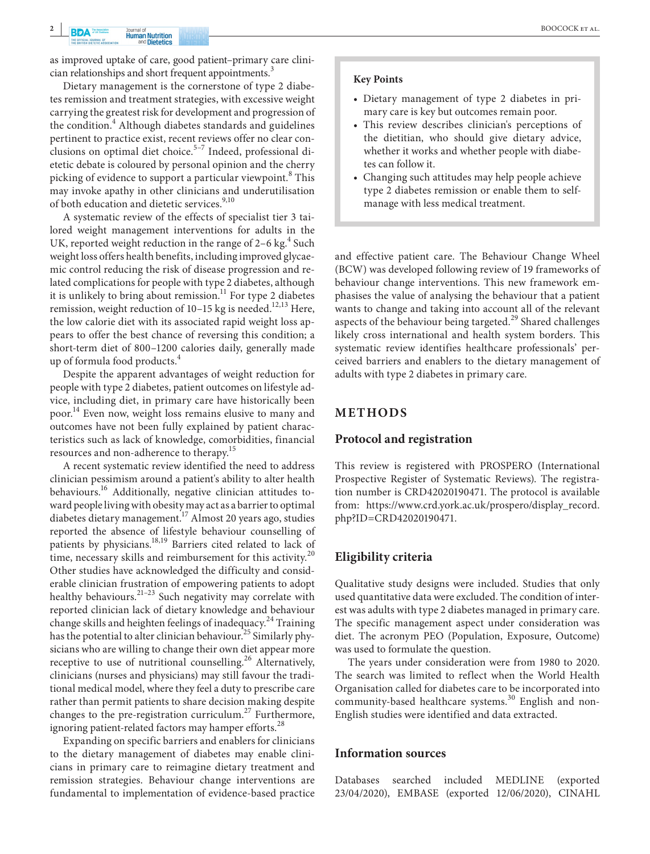**BOOCOCK** ET AL.

as improved uptake of care, good patient–primary care clinician relationships and short frequent appointments.<sup>3</sup>

Dietary management is the cornerstone of type 2 diabetes remission and treatment strategies, with excessive weight carrying the greatest risk for development and progression of the condition.<sup>4</sup> Although diabetes standards and guidelines pertinent to practice exist, recent reviews offer no clear conclusions on optimal diet choice.<sup>5-7</sup> Indeed, professional dietetic debate is coloured by personal opinion and the cherry picking of evidence to support a particular viewpoint.<sup>8</sup> This may invoke apathy in other clinicians and underutilisation of both education and dietetic services.<sup>9,10</sup>

A systematic review of the effects of specialist tier 3 tailored weight management interventions for adults in the UK, reported weight reduction in the range of 2-6 kg.<sup>4</sup> Such weight loss offers health benefits, including improved glycaemic control reducing the risk of disease progression and related complications for people with type 2 diabetes, although it is unlikely to bring about remission.<sup>11</sup> For type 2 diabetes remission, weight reduction of 10-15 kg is needed.<sup>12,13</sup> Here, the low calorie diet with its associated rapid weight loss appears to offer the best chance of reversing this condition; a short-term diet of 800–1200 calories daily, generally made up of formula food products.4

Despite the apparent advantages of weight reduction for people with type 2 diabetes, patient outcomes on lifestyle advice, including diet, in primary care have historically been poor.<sup>14</sup> Even now, weight loss remains elusive to many and outcomes have not been fully explained by patient characteristics such as lack of knowledge, comorbidities, financial resources and non-adherence to therapy.<sup>15</sup>

A recent systematic review identified the need to address clinician pessimism around a patient's ability to alter health behaviours.<sup>16</sup> Additionally, negative clinician attitudes toward people living with obesity may act as a barrier to optimal diabetes dietary management.<sup>17</sup> Almost 20 years ago, studies reported the absence of lifestyle behaviour counselling of patients by physicians.18,19 Barriers cited related to lack of time, necessary skills and reimbursement for this activity.<sup>20</sup> Other studies have acknowledged the difficulty and considerable clinician frustration of empowering patients to adopt healthy behaviours.<sup>21-23</sup> Such negativity may correlate with reported clinician lack of dietary knowledge and behaviour change skills and heighten feelings of inadequacy.<sup>24</sup> Training has the potential to alter clinician behaviour.<sup>25</sup> Similarly physicians who are willing to change their own diet appear more receptive to use of nutritional counselling.<sup>26</sup> Alternatively, clinicians (nurses and physicians) may still favour the traditional medical model, where they feel a duty to prescribe care rather than permit patients to share decision making despite changes to the pre-registration curriculum.<sup>27</sup> Furthermore, ignoring patient-related factors may hamper efforts.<sup>28</sup>

Expanding on specific barriers and enablers for clinicians to the dietary management of diabetes may enable clinicians in primary care to reimagine dietary treatment and remission strategies. Behaviour change interventions are fundamental to implementation of evidence-based practice

#### **Key Points**

- Dietary management of type 2 diabetes in primary care is key but outcomes remain poor.
- This review describes clinician's perceptions of the dietitian, who should give dietary advice, whether it works and whether people with diabetes can follow it.
- Changing such attitudes may help people achieve type 2 diabetes remission or enable them to selfmanage with less medical treatment.

and effective patient care. The Behaviour Change Wheel (BCW) was developed following review of 19 frameworks of behaviour change interventions. This new framework emphasises the value of analysing the behaviour that a patient wants to change and taking into account all of the relevant aspects of the behaviour being targeted.<sup>29</sup> Shared challenges likely cross international and health system borders. This systematic review identifies healthcare professionals' perceived barriers and enablers to the dietary management of adults with type 2 diabetes in primary care.

#### **METHODS**

#### **Protocol and registration**

This review is registered with PROSPERO (International Prospective Register of Systematic Reviews). The registration number is CRD42020190471. The protocol is available from: [https://www.crd.york.ac.uk/prospero/display\\_record.](https://www.crd.york.ac.uk/prospero/display_record.php?ID=CRD42020190471) [php?ID=CRD42020190471](https://www.crd.york.ac.uk/prospero/display_record.php?ID=CRD42020190471).

## **Eligibility criteria**

Qualitative study designs were included. Studies that only used quantitative data were excluded. The condition of interest was adults with type 2 diabetes managed in primary care. The specific management aspect under consideration was diet. The acronym PEO (Population, Exposure, Outcome) was used to formulate the question.

The years under consideration were from 1980 to 2020. The search was limited to reflect when the World Health Organisation called for diabetes care to be incorporated into community-based healthcare systems.<sup>30</sup> English and non-English studies were identified and data extracted.

#### **Information sources**

Databases searched included MEDLINE (exported 23/04/2020), EMBASE (exported 12/06/2020), CINAHL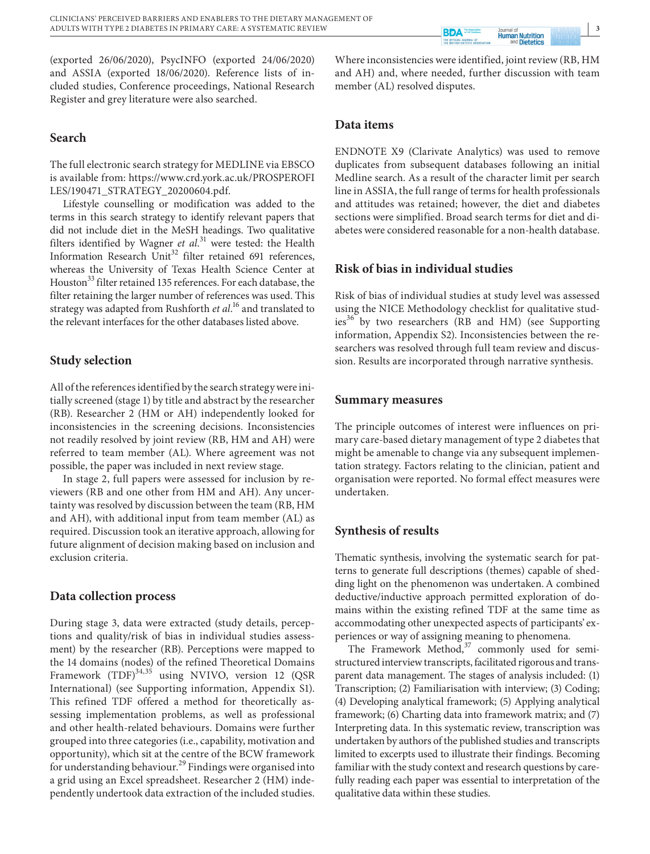(exported 26/06/2020), PsycINFO (exported 24/06/2020) and ASSIA (exported 18/06/2020). Reference lists of included studies, Conference proceedings, National Research Register and grey literature were also searched.

#### **Search**

The full electronic search strategy for MEDLINE via EBSCO is available from: [https://www.crd.york.ac.uk/PROSPEROFI](https://www.crd.york.ac.uk/PROSPEROFILES/190471_STRATEGY_20200604.pdf) [LES/190471\\_STRATEGY\\_20200604.pdf](https://www.crd.york.ac.uk/PROSPEROFILES/190471_STRATEGY_20200604.pdf).

Lifestyle counselling or modification was added to the terms in this search strategy to identify relevant papers that did not include diet in the MeSH headings. Two qualitative filters identified by Wagner *et al*. 31 were tested: the Health Information Research Unit<sup>32</sup> filter retained 691 references, whereas the University of Texas Health Science Center at Houston<sup>33</sup> filter retained 135 references. For each database, the filter retaining the larger number of references was used. This strategy was adapted from Rushforth *et al*. 16 and translated to the relevant interfaces for the other databases listed above.

#### **Study selection**

All of the references identified by the search strategy were initially screened (stage 1) by title and abstract by the researcher (RB). Researcher 2 (HM or AH) independently looked for inconsistencies in the screening decisions. Inconsistencies not readily resolved by joint review (RB, HM and AH) were referred to team member (AL). Where agreement was not possible, the paper was included in next review stage.

In stage 2, full papers were assessed for inclusion by reviewers (RB and one other from HM and AH). Any uncertainty was resolved by discussion between the team (RB, HM and AH), with additional input from team member (AL) as required. Discussion took an iterative approach, allowing for future alignment of decision making based on inclusion and exclusion criteria.

#### **Data collection process**

During stage 3, data were extracted (study details, perceptions and quality/risk of bias in individual studies assessment) by the researcher (RB). Perceptions were mapped to the 14 domains (nodes) of the refined Theoretical Domains Framework (TDF)<sup>34,35</sup> using NVIVO, version 12 (QSR International) (see Supporting information, Appendix S1). This refined TDF offered a method for theoretically assessing implementation problems, as well as professional and other health-related behaviours. Domains were further grouped into three categories (i.e., capability, motivation and opportunity), which sit at the centre of the BCW framework for understanding behaviour.<sup>29</sup> Findings were organised into a grid using an Excel spreadsheet. Researcher 2 (HM) independently undertook data extraction of the included studies.

Where inconsistencies were identified, joint review (RB, HM and AH) and, where needed, further discussion with team member (AL) resolved disputes.

**Human Nutrition**<br> **Human Nutrition** 

**Ba** 

#### **Data items**

ENDNOTE X9 (Clarivate Analytics) was used to remove duplicates from subsequent databases following an initial Medline search. As a result of the character limit per search line in ASSIA, the full range of terms for health professionals and attitudes was retained; however, the diet and diabetes sections were simplified. Broad search terms for diet and diabetes were considered reasonable for a non-health database.

## **Risk of bias in individual studies**

Risk of bias of individual studies at study level was assessed using the NICE Methodology checklist for qualitative studies<sup>36</sup> by two researchers (RB and HM) (see Supporting information, Appendix S2). Inconsistencies between the researchers was resolved through full team review and discussion. Results are incorporated through narrative synthesis.

#### **Summary measures**

The principle outcomes of interest were influences on primary care-based dietary management of type 2 diabetes that might be amenable to change via any subsequent implementation strategy. Factors relating to the clinician, patient and organisation were reported. No formal effect measures were undertaken.

#### **Synthesis of results**

Thematic synthesis, involving the systematic search for patterns to generate full descriptions (themes) capable of shedding light on the phenomenon was undertaken. A combined deductive/inductive approach permitted exploration of domains within the existing refined TDF at the same time as accommodating other unexpected aspects of participants' experiences or way of assigning meaning to phenomena.

The Framework Method,<sup>37</sup> commonly used for semistructured interview transcripts, facilitated rigorous and transparent data management. The stages of analysis included: (1) Transcription; (2) Familiarisation with interview; (3) Coding; (4) Developing analytical framework; (5) Applying analytical framework; (6) Charting data into framework matrix; and (7) Interpreting data. In this systematic review, transcription was undertaken by authors of the published studies and transcripts limited to excerpts used to illustrate their findings. Becoming familiar with the study context and research questions by carefully reading each paper was essential to interpretation of the qualitative data within these studies.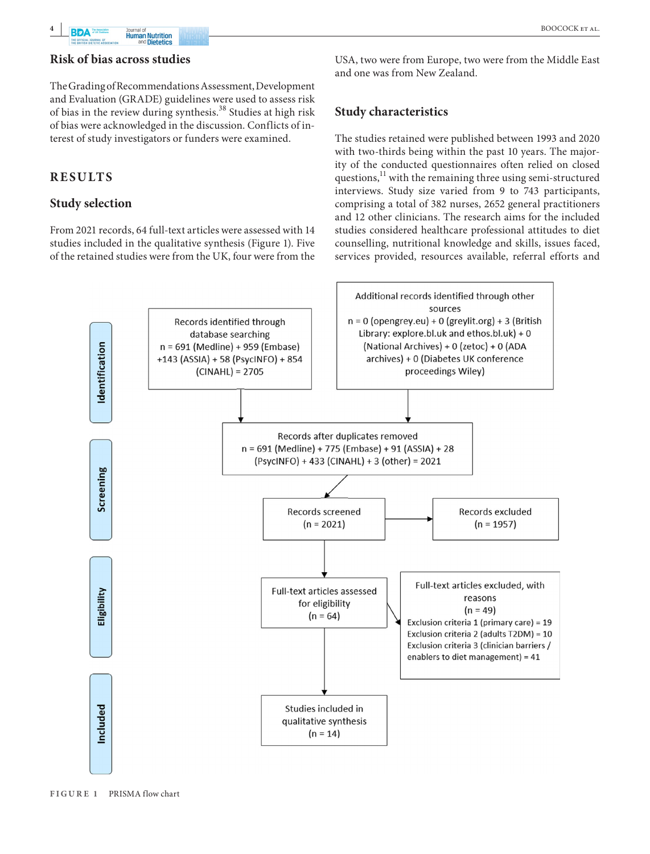

## **Risk of bias across studies**

The Grading of Recommendations Assessment, Development and Evaluation (GRADE) guidelines were used to assess risk of bias in the review during synthesis.38 Studies at high risk of bias were acknowledged in the discussion. Conflicts of interest of study investigators or funders were examined.

## **RESULTS**

## **Study selection**

From 2021 records, 64 full-text articles were assessed with 14 studies included in the qualitative synthesis (Figure 1). Five of the retained studies were from the UK, four were from the

USA, two were from Europe, two were from the Middle East and one was from New Zealand.

## **Study characteristics**

The studies retained were published between 1993 and 2020 with two-thirds being within the past 10 years. The majority of the conducted questionnaires often relied on closed questions, $11$  with the remaining three using semi-structured interviews. Study size varied from 9 to 743 participants, comprising a total of 382 nurses, 2652 general practitioners and 12 other clinicians. The research aims for the included studies considered healthcare professional attitudes to diet counselling, nutritional knowledge and skills, issues faced, services provided, resources available, referral efforts and

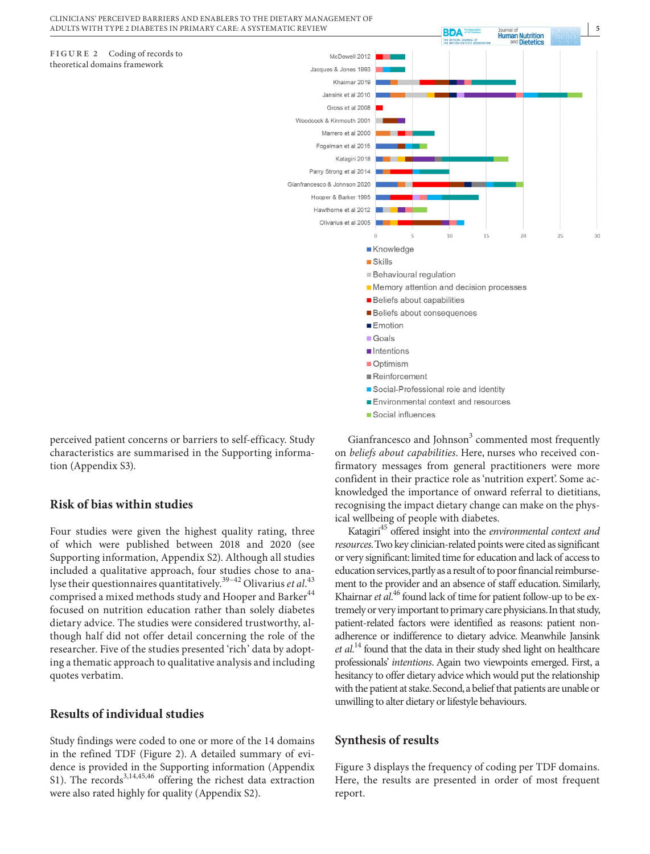



## **Risk of bias within studies**

Four studies were given the highest quality rating, three of which were published between 2018 and 2020 (see Supporting information, Appendix S2). Although all studies included a qualitative approach, four studies chose to analyse their questionnaires quantitatively.<sup>39–42</sup> Olivarius *et al*.<sup>43</sup> comprised a mixed methods study and Hooper and Barker<sup>44</sup> focused on nutrition education rather than solely diabetes dietary advice. The studies were considered trustworthy, although half did not offer detail concerning the role of the researcher. Five of the studies presented 'rich' data by adopting a thematic approach to qualitative analysis and including quotes verbatim.

## **Results of individual studies**

Study findings were coded to one or more of the 14 domains in the refined TDF (Figure 2). A detailed summary of evidence is provided in the Supporting information (Appendix S1). The records $3,14,45,46$  offering the richest data extraction were also rated highly for quality (Appendix S2).



Gianfrancesco and Johnson<sup>3</sup> commented most frequently on *beliefs about capabilities*. Here, nurses who received confirmatory messages from general practitioners were more confident in their practice role as 'nutrition expert'. Some acknowledged the importance of onward referral to dietitians, recognising the impact dietary change can make on the physical wellbeing of people with diabetes.

Katagiri45 offered insight into the *environmental context and resources*. Two key clinician-related points were cited as significant or very significant: limited time for education and lack of access to education services, partly as a result of to poor financial reimbursement to the provider and an absence of staff education. Similarly, Khairnar *et al*.<sup>46</sup> found lack of time for patient follow-up to be extremely or very important to primary care physicians. In that study, patient-related factors were identified as reasons: patient nonadherence or indifference to dietary advice. Meanwhile Jansink *et al*. 14 found that the data in their study shed light on healthcare professionals' *intentions*. Again two viewpoints emerged. First, a hesitancy to offer dietary advice which would put the relationship with the patient at stake. Second, a belief that patients are unable or unwilling to alter dietary or lifestyle behaviours.

## **Synthesis of results**

Figure 3 displays the frequency of coding per TDF domains. Here, the results are presented in order of most frequent report.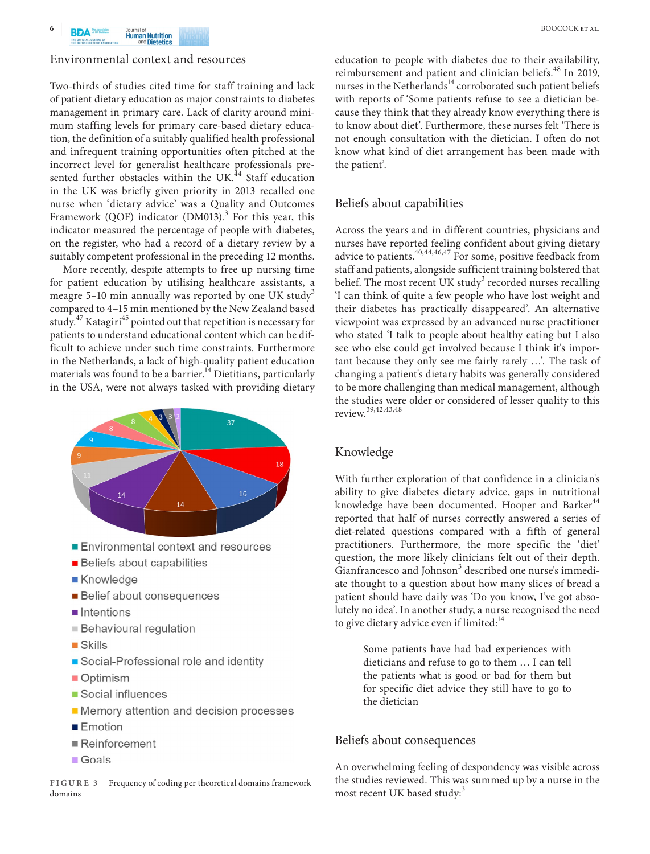

#### Environmental context and resources

Two-thirds of studies cited time for staff training and lack of patient dietary education as major constraints to diabetes management in primary care. Lack of clarity around minimum staffing levels for primary care-based dietary education, the definition of a suitably qualified health professional and infrequent training opportunities often pitched at the incorrect level for generalist healthcare professionals presented further obstacles within the UK $^{44}$  Staff education in the UK was briefly given priority in 2013 recalled one nurse when 'dietary advice' was a Quality and Outcomes Framework (QOF) indicator  $(DM013).$ <sup>3</sup> For this year, this indicator measured the percentage of people with diabetes, on the register, who had a record of a dietary review by a suitably competent professional in the preceding 12 months.

More recently, despite attempts to free up nursing time for patient education by utilising healthcare assistants, a meagre 5–10 min annually was reported by one UK study<sup>3</sup> compared to 4–15 min mentioned by the New Zealand based study.<sup>47</sup> Katagiri<sup>45</sup> pointed out that repetition is necessary for patients to understand educational content which can be difficult to achieve under such time constraints. Furthermore in the Netherlands, a lack of high-quality patient education materials was found to be a barrier.<sup>14</sup> Dietitians, particularly in the USA, were not always tasked with providing dietary



- Environmental context and resources
- **Beliefs about capabilities**
- Knowledge
- **Belief about consequences**
- $\blacksquare$ Intentions
- **Behavioural regulation**
- $\blacksquare$  Skills
- Social-Professional role and identity
- Optimism
- Social influences
- Memory attention and decision processes
- $\blacksquare$  Emotion
- $\blacksquare$  Reinforcement
- Goals

**FIGURE 3** Frequency of coding per theoretical domains framework domains

education to people with diabetes due to their availability, reimbursement and patient and clinician beliefs.<sup>48</sup> In 2019, nurses in the Netherlands<sup>14</sup> corroborated such patient beliefs with reports of 'Some patients refuse to see a dietician because they think that they already know everything there is to know about diet'. Furthermore, these nurses felt 'There is not enough consultation with the dietician. I often do not know what kind of diet arrangement has been made with the patient'.

#### Beliefs about capabilities

Across the years and in different countries, physicians and nurses have reported feeling confident about giving dietary advice to patients.<sup>40,44,46,47</sup> For some, positive feedback from staff and patients, alongside sufficient training bolstered that belief. The most recent UK study $^3$  recorded nurses recalling 'I can think of quite a few people who have lost weight and their diabetes has practically disappeared'. An alternative viewpoint was expressed by an advanced nurse practitioner who stated 'I talk to people about healthy eating but I also see who else could get involved because I think it's important because they only see me fairly rarely …'. The task of changing a patient's dietary habits was generally considered to be more challenging than medical management, although the studies were older or considered of lesser quality to this review.39,42,43,48

#### Knowledge

With further exploration of that confidence in a clinician's ability to give diabetes dietary advice, gaps in nutritional knowledge have been documented. Hooper and Barker<sup>44</sup> reported that half of nurses correctly answered a series of diet-related questions compared with a fifth of general practitioners. Furthermore, the more specific the 'diet' question, the more likely clinicians felt out of their depth. Gianfrancesco and Johnson<sup>3</sup> described one nurse's immediate thought to a question about how many slices of bread a patient should have daily was 'Do you know, I've got absolutely no idea'. In another study, a nurse recognised the need to give dietary advice even if limited:<sup>14</sup>

> Some patients have had bad experiences with dieticians and refuse to go to them … I can tell the patients what is good or bad for them but for specific diet advice they still have to go to the dietician

#### Beliefs about consequences

An overwhelming feeling of despondency was visible across the studies reviewed. This was summed up by a nurse in the most recent UK based study:<sup>3</sup>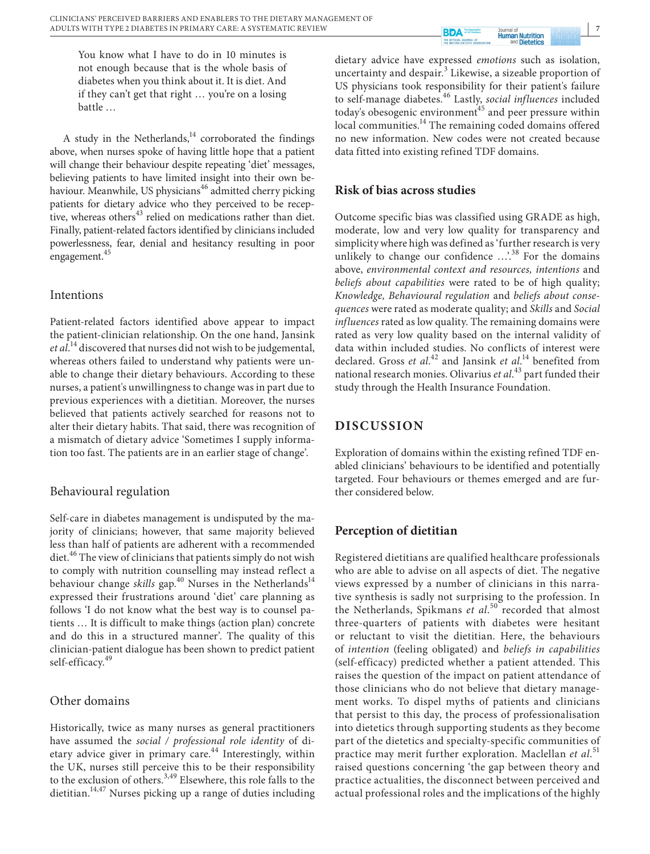**RDA Human Nutrition**<br>and **Dietetics** 

You know what I have to do in 10 minutes is not enough because that is the whole basis of diabetes when you think about it. It is diet. And if they can't get that right … you're on a losing battle …

A study in the Netherlands, $14$  corroborated the findings above, when nurses spoke of having little hope that a patient will change their behaviour despite repeating 'diet' messages, believing patients to have limited insight into their own behaviour. Meanwhile, US physicians<sup>46</sup> admitted cherry picking patients for dietary advice who they perceived to be receptive, whereas others $43$  relied on medications rather than diet. Finally, patient-related factors identified by clinicians included powerlessness, fear, denial and hesitancy resulting in poor engagement.45

#### Intentions

Patient-related factors identified above appear to impact the patient-clinician relationship. On the one hand, Jansink *et al*. 14 discovered that nurses did not wish to be judgemental, whereas others failed to understand why patients were unable to change their dietary behaviours. According to these nurses, a patient's unwillingness to change was in part due to previous experiences with a dietitian. Moreover, the nurses believed that patients actively searched for reasons not to alter their dietary habits. That said, there was recognition of a mismatch of dietary advice 'Sometimes I supply information too fast. The patients are in an earlier stage of change'.

## Behavioural regulation

Self-care in diabetes management is undisputed by the majority of clinicians; however, that same majority believed less than half of patients are adherent with a recommended diet.<sup>46</sup> The view of clinicians that patients simply do not wish to comply with nutrition counselling may instead reflect a behaviour change *skills* gap.<sup>40</sup> Nurses in the Netherlands<sup>14</sup> expressed their frustrations around 'diet' care planning as follows 'I do not know what the best way is to counsel patients … It is difficult to make things (action plan) concrete and do this in a structured manner'. The quality of this clinician-patient dialogue has been shown to predict patient self-efficacy.<sup>49</sup>

## Other domains

Historically, twice as many nurses as general practitioners have assumed the *social / professional role identity* of dietary advice giver in primary care.<sup>44</sup> Interestingly, within the UK, nurses still perceive this to be their responsibility to the exclusion of others.<sup>3,49</sup> Elsewhere, this role falls to the dietitian.<sup>14,47</sup> Nurses picking up a range of duties including

dietary advice have expressed *emotions* such as isolation, uncertainty and despair.<sup>3</sup> Likewise, a sizeable proportion of US physicians took responsibility for their patient's failure to self-manage diabetes.46 Lastly, *social influences* included today's obesogenic environment $45$  and peer pressure within local communities.<sup>14</sup> The remaining coded domains offered no new information. New codes were not created because data fitted into existing refined TDF domains.

## **Risk of bias across studies**

Outcome specific bias was classified using GRADE as high, moderate, low and very low quality for transparency and simplicity where high was defined as 'further research is very unlikely to change our confidence ...'.<sup>38</sup> For the domains above, *environmental context and resources, intentions* and *beliefs about capabilities* were rated to be of high quality; *Knowledge, Behavioural regulation* and *beliefs about consequences* were rated as moderate quality; and *Skills* and *Social influences* rated as low quality. The remaining domains were rated as very low quality based on the internal validity of data within included studies. No conflicts of interest were declared. Gross *et al.*<sup>42</sup> and Jansink *et al.*<sup>14</sup> benefited from national research monies. Olivarius *et al*. 43 part funded their study through the Health Insurance Foundation.

# **DISCUSSION**

Exploration of domains within the existing refined TDF enabled clinicians' behaviours to be identified and potentially targeted. Four behaviours or themes emerged and are further considered below.

# **Perception of dietitian**

Registered dietitians are qualified healthcare professionals who are able to advise on all aspects of diet. The negative views expressed by a number of clinicians in this narrative synthesis is sadly not surprising to the profession. In the Netherlands, Spikmans *et al*. 50 recorded that almost three-quarters of patients with diabetes were hesitant or reluctant to visit the dietitian. Here, the behaviours of *intention* (feeling obligated) and *beliefs in capabilities* (self-efficacy) predicted whether a patient attended. This raises the question of the impact on patient attendance of those clinicians who do not believe that dietary management works. To dispel myths of patients and clinicians that persist to this day, the process of professionalisation into dietetics through supporting students as they become part of the dietetics and specialty-specific communities of practice may merit further exploration. Maclellan *et al*. 51 raised questions concerning 'the gap between theory and practice actualities, the disconnect between perceived and actual professional roles and the implications of the highly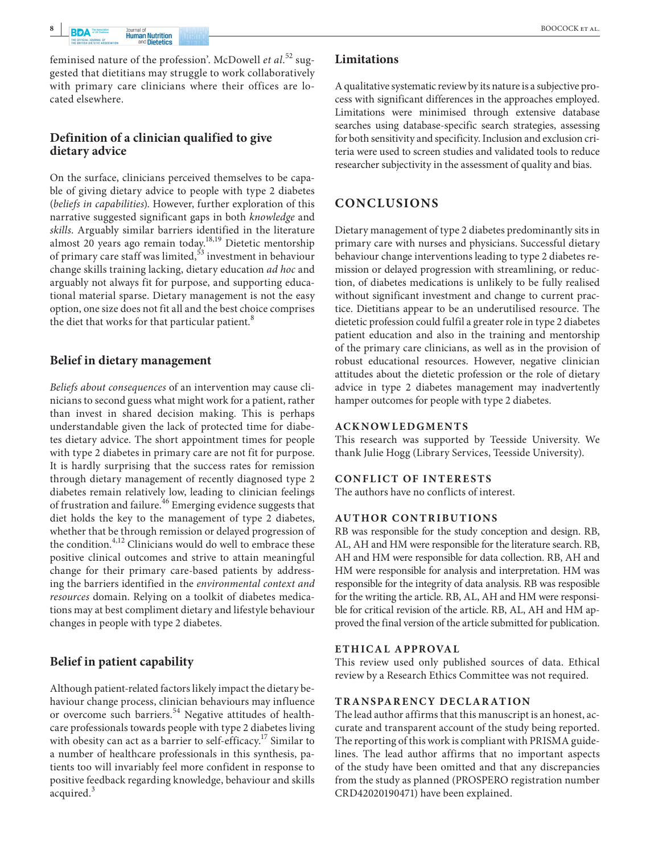feminised nature of the profession'. McDowell *et al*. 52 suggested that dietitians may struggle to work collaboratively with primary care clinicians where their offices are located elsewhere.

## **Definition of a clinician qualified to give dietary advice**

On the surface, clinicians perceived themselves to be capable of giving dietary advice to people with type 2 diabetes (*beliefs in capabilities*). However, further exploration of this narrative suggested significant gaps in both *knowledge* and *skills*. Arguably similar barriers identified in the literature almost 20 years ago remain today.<sup>18,19</sup> Dietetic mentorship of primary care staff was limited,53 investment in behaviour change skills training lacking, dietary education *ad hoc* and arguably not always fit for purpose, and supporting educational material sparse. Dietary management is not the easy option, one size does not fit all and the best choice comprises the diet that works for that particular patient.<sup>8</sup>

## **Belief in dietary management**

*Beliefs about consequences* of an intervention may cause clinicians to second guess what might work for a patient, rather than invest in shared decision making. This is perhaps understandable given the lack of protected time for diabetes dietary advice. The short appointment times for people with type 2 diabetes in primary care are not fit for purpose. It is hardly surprising that the success rates for remission through dietary management of recently diagnosed type 2 diabetes remain relatively low, leading to clinician feelings of frustration and failure.<sup>46</sup> Emerging evidence suggests that diet holds the key to the management of type 2 diabetes, whether that be through remission or delayed progression of the condition.<sup>4,12</sup> Clinicians would do well to embrace these positive clinical outcomes and strive to attain meaningful change for their primary care-based patients by addressing the barriers identified in the *environmental context and resources* domain. Relying on a toolkit of diabetes medications may at best compliment dietary and lifestyle behaviour changes in people with type 2 diabetes.

# **Belief in patient capability**

Although patient-related factors likely impact the dietary behaviour change process, clinician behaviours may influence or overcome such barriers.<sup>54</sup> Negative attitudes of healthcare professionals towards people with type 2 diabetes living with obesity can act as a barrier to self-efficacy.<sup>17</sup> Similar to a number of healthcare professionals in this synthesis, patients too will invariably feel more confident in response to positive feedback regarding knowledge, behaviour and skills acquired.<sup>3</sup>

## **Limitations**

A qualitative systematic review by its nature is a subjective process with significant differences in the approaches employed. Limitations were minimised through extensive database searches using database-specific search strategies, assessing for both sensitivity and specificity. Inclusion and exclusion criteria were used to screen studies and validated tools to reduce researcher subjectivity in the assessment of quality and bias.

# **CONCLUSIONS**

Dietary management of type 2 diabetes predominantly sits in primary care with nurses and physicians. Successful dietary behaviour change interventions leading to type 2 diabetes remission or delayed progression with streamlining, or reduction, of diabetes medications is unlikely to be fully realised without significant investment and change to current practice. Dietitians appear to be an underutilised resource. The dietetic profession could fulfil a greater role in type 2 diabetes patient education and also in the training and mentorship of the primary care clinicians, as well as in the provision of robust educational resources. However, negative clinician attitudes about the dietetic profession or the role of dietary advice in type 2 diabetes management may inadvertently hamper outcomes for people with type 2 diabetes.

## **ACKNOWLEDGMENTS**

This research was supported by Teesside University. We thank Julie Hogg (Library Services, Teesside University).

#### **CONFLICT OF INTERESTS**

The authors have no conflicts of interest.

#### **AUTHOR CONTRIBUTIONS**

RB was responsible for the study conception and design. RB, AL, AH and HM were responsible for the literature search. RB, AH and HM were responsible for data collection. RB, AH and HM were responsible for analysis and interpretation. HM was responsible for the integrity of data analysis. RB was resposible for the writing the article. RB, AL, AH and HM were responsible for critical revision of the article. RB, AL, AH and HM approved the final version of the article submitted for publication.

#### **ETHICAL APPROVAL**

This review used only published sources of data. Ethical review by a Research Ethics Committee was not required.

#### **TR ANSPARENCY DECLAR ATION**

The lead author affirms that this manuscript is an honest, accurate and transparent account of the study being reported. The reporting of this work is compliant with PRISMA guidelines. The lead author affirms that no important aspects of the study have been omitted and that any discrepancies from the study as planned (PROSPERO registration number CRD42020190471) have been explained.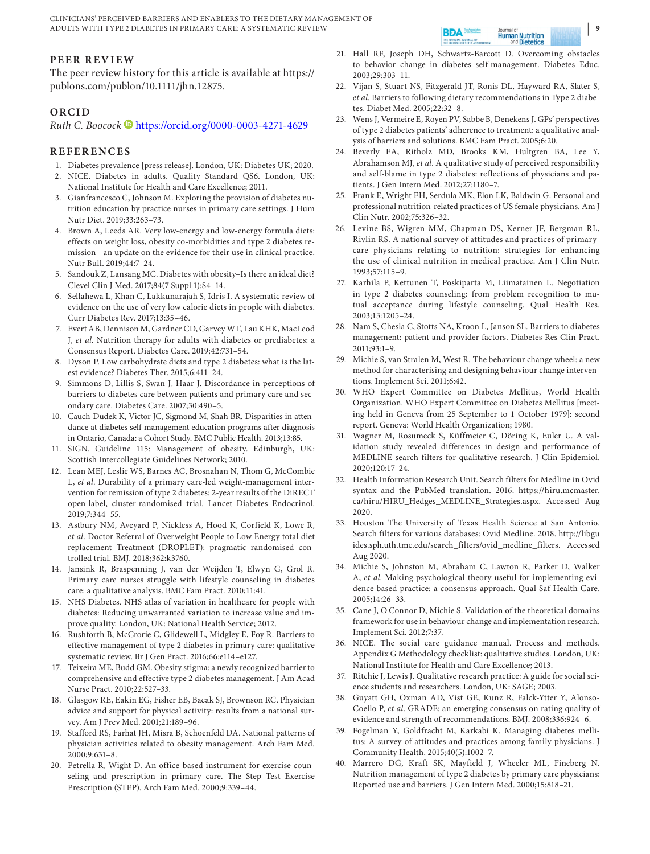The peer review history for this article is available at [https://](https://publons.com/publon/10.1111/jhn.12875) [publons.com/publon/10.1111/jhn.12875.](https://publons.com/publon/10.1111/jhn.12875)

#### **ORCID**

*Ruth C. Boocock* <https://orcid.org/0000-0003-4271-4629>

#### **REFERENCES**

- 1. Diabetes prevalence [press release]. London, UK: Diabetes UK; 2020.
- 2. NICE. Diabetes in adults. Quality Standard QS6. London, UK: National Institute for Health and Care Excellence; 2011.
- 3. Gianfrancesco C, Johnson M. Exploring the provision of diabetes nutrition education by practice nurses in primary care settings. J Hum Nutr Diet. 2019;33:263–73.
- 4. Brown A, Leeds AR. Very low-energy and low-energy formula diets: effects on weight loss, obesity co-morbidities and type 2 diabetes remission - an update on the evidence for their use in clinical practice. Nutr Bull. 2019;44:7–24.
- 5. Sandouk Z, Lansang MC. Diabetes with obesity–Is there an ideal diet? Clevel Clin J Med. 2017;84(7 Suppl 1):S4–14.
- 6. Sellahewa L, Khan C, Lakkunarajah S, Idris I. A systematic review of evidence on the use of very low calorie diets in people with diabetes. Curr Diabetes Rev. 2017;13:35–46.
- 7. Evert AB, Dennison M, Gardner CD, Garvey WT, Lau KHK, MacLeod J, *et al*. Nutrition therapy for adults with diabetes or prediabetes: a Consensus Report. Diabetes Care. 2019;42:731–54.
- 8. Dyson P. Low carbohydrate diets and type 2 diabetes: what is the latest evidence? Diabetes Ther. 2015;6:411–24.
- 9. Simmons D, Lillis S, Swan J, Haar J. Discordance in perceptions of barriers to diabetes care between patients and primary care and secondary care. Diabetes Care. 2007;30:490–5.
- 10. Cauch-Dudek K, Victor JC, Sigmond M, Shah BR. Disparities in attendance at diabetes self-management education programs after diagnosis in Ontario, Canada: a Cohort Study. BMC Public Health. 2013;13:85.
- 11. SIGN. Guideline 115: Management of obesity. Edinburgh, UK: Scottish Intercollegiate Guidelines Network; 2010.
- 12. Lean MEJ, Leslie WS, Barnes AC, Brosnahan N, Thom G, McCombie L, *et al*. Durability of a primary care-led weight-management intervention for remission of type 2 diabetes: 2-year results of the DiRECT open-label, cluster-randomised trial. Lancet Diabetes Endocrinol. 2019;7:344–55.
- 13. Astbury NM, Aveyard P, Nickless A, Hood K, Corfield K, Lowe R, *et al*. Doctor Referral of Overweight People to Low Energy total diet replacement Treatment (DROPLET): pragmatic randomised controlled trial. BMJ. 2018;362:k3760.
- 14. Jansink R, Braspenning J, van der Weijden T, Elwyn G, Grol R. Primary care nurses struggle with lifestyle counseling in diabetes care: a qualitative analysis. BMC Fam Pract. 2010;11:41.
- 15. NHS Diabetes. NHS atlas of variation in healthcare for people with diabetes: Reducing unwarranted variation to increase value and improve quality. London, UK: National Health Service; 2012.
- 16. Rushforth B, McCrorie C, Glidewell L, Midgley E, Foy R. Barriers to effective management of type 2 diabetes in primary care: qualitative systematic review. Br J Gen Pract. 2016;66:e114–e127.
- 17. Teixeira ME, Budd GM. Obesity stigma: a newly recognized barrier to comprehensive and effective type 2 diabetes management. J Am Acad Nurse Pract. 2010;22:527–33.
- 18. Glasgow RE, Eakin EG, Fisher EB, Bacak SJ, Brownson RC. Physician advice and support for physical activity: results from a national survey. Am J Prev Med. 2001;21:189–96.
- 19. Stafford RS, Farhat JH, Misra B, Schoenfeld DA. National patterns of physician activities related to obesity management. Arch Fam Med. 2000;9:631–8.
- 20. Petrella R, Wight D. An office-based instrument for exercise counseling and prescription in primary care. The Step Test Exercise Prescription (STEP). Arch Fam Med. 2000;9:339–44.

21. Hall RF, Joseph DH, Schwartz-Barcott D. Overcoming obstacles to behavior change in diabetes self-management. Diabetes Educ. 2003;29:303–11.

Human Nutrition

**BDA** 

THE OFF

- 22. Vijan S, Stuart NS, Fitzgerald JT, Ronis DL, Hayward RA, Slater S, *et al*. Barriers to following dietary recommendations in Type 2 diabetes. Diabet Med. 2005;22:32–8.
- 23. Wens J, Vermeire E, Royen PV, Sabbe B, Denekens J. GPs' perspectives of type 2 diabetes patients' adherence to treatment: a qualitative analysis of barriers and solutions. BMC Fam Pract. 2005;6:20.
- 24. Beverly EA, Ritholz MD, Brooks KM, Hultgren BA, Lee Y, Abrahamson MJ, *et al*. A qualitative study of perceived responsibility and self-blame in type 2 diabetes: reflections of physicians and patients. J Gen Intern Med. 2012;27:1180–7.
- 25. Frank E, Wright EH, Serdula MK, Elon LK, Baldwin G. Personal and professional nutrition-related practices of US female physicians. Am J Clin Nutr. 2002;75:326–32.
- 26. Levine BS, Wigren MM, Chapman DS, Kerner JF, Bergman RL, Rivlin RS. A national survey of attitudes and practices of primarycare physicians relating to nutrition: strategies for enhancing the use of clinical nutrition in medical practice. Am J Clin Nutr. 1993;57:115–9.
- 27. Karhila P, Kettunen T, Poskiparta M, Liimatainen L. Negotiation in type 2 diabetes counseling: from problem recognition to mutual acceptance during lifestyle counseling. Qual Health Res. 2003;13:1205–24.
- 28. Nam S, Chesla C, Stotts NA, Kroon L, Janson SL. Barriers to diabetes management: patient and provider factors. Diabetes Res Clin Pract. 2011;93:1–9.
- 29. Michie S, van Stralen M, West R. The behaviour change wheel: a new method for characterising and designing behaviour change interventions. Implement Sci. 2011;6:42.
- 30. WHO Expert Committee on Diabetes Mellitus, World Health Organization. WHO Expert Committee on Diabetes Mellitus [meeting held in Geneva from 25 September to 1 October 1979]: second report. Geneva: World Health Organization; 1980.
- 31. Wagner M, Rosumeck S, Küffmeier C, Döring K, Euler U. A validation study revealed differences in design and performance of MEDLINE search filters for qualitative research. J Clin Epidemiol. 2020;120:17–24.
- 32. Health Information Research Unit. Search filters for Medline in Ovid syntax and the PubMed translation. 2016. [https://hiru.mcmaster.](https://hiru.mcmaster.ca/hiru/HIRU_Hedges_MEDLINE_Strategies.aspx) [ca/hiru/HIRU\\_Hedges\\_MEDLINE\\_Strategies.aspx.](https://hiru.mcmaster.ca/hiru/HIRU_Hedges_MEDLINE_Strategies.aspx) Accessed Aug 2020.
- 33. Houston The University of Texas Health Science at San Antonio. Search filters for various databases: Ovid Medline. 2018. [http://libgu](http://libguides.sph.uth.tmc.edu/search_filters/ovid_medline_filters) [ides.sph.uth.tmc.edu/search\\_filters/ovid\\_medline\\_filters.](http://libguides.sph.uth.tmc.edu/search_filters/ovid_medline_filters) Accessed Aug 2020.
- 34. Michie S, Johnston M, Abraham C, Lawton R, Parker D, Walker A, *et al*. Making psychological theory useful for implementing evidence based practice: a consensus approach. Qual Saf Health Care. 2005;14:26–33.
- 35. Cane J, O'Connor D, Michie S. Validation of the theoretical domains framework for use in behaviour change and implementation research. Implement Sci. 2012;7:37.
- 36. NICE. The social care guidance manual. Process and methods. Appendix G Methodology checklist: qualitative studies. London, UK: National Institute for Health and Care Excellence; 2013.
- 37. Ritchie J, Lewis J. Qualitative research practice: A guide for social science students and researchers. London, UK: SAGE; 2003.
- 38. Guyatt GH, Oxman AD, Vist GE, Kunz R, Falck-Ytter Y, Alonso-Coello P, *et al*. GRADE: an emerging consensus on rating quality of evidence and strength of recommendations. BMJ. 2008;336:924–6.
- 39. Fogelman Y, Goldfracht M, Karkabi K. Managing diabetes mellitus: A survey of attitudes and practices among family physicians. J Community Health. 2015;40(5):1002–7.
- 40. Marrero DG, Kraft SK, Mayfield J, Wheeler ML, Fineberg N. Nutrition management of type 2 diabetes by primary care physicians: Reported use and barriers. J Gen Intern Med. 2000;15:818–21.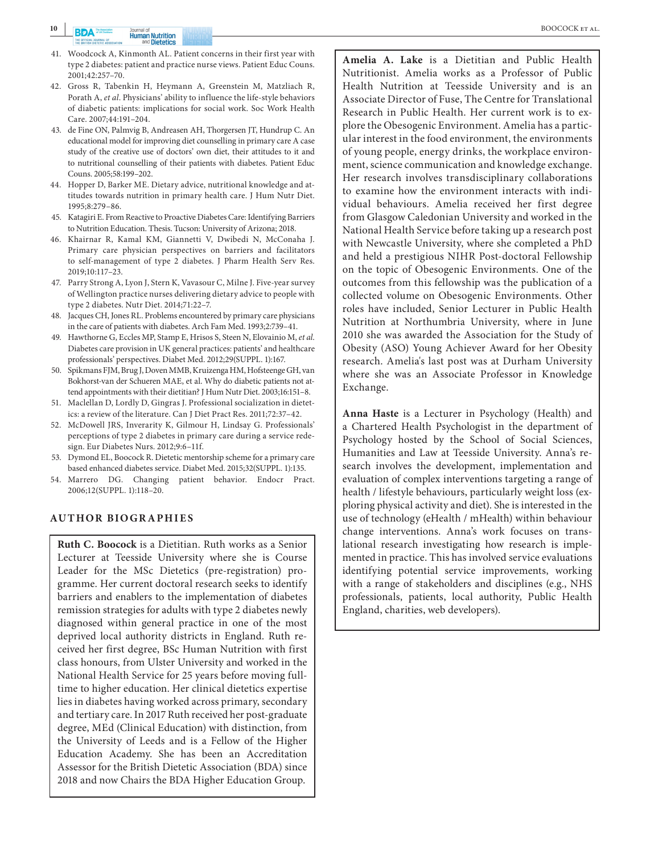- 41. Woodcock A, Kinmonth AL. Patient concerns in their first year with type 2 diabetes: patient and practice nurse views. Patient Educ Couns. 2001;42:257–70.
- 42. Gross R, Tabenkin H, Heymann A, Greenstein M, Matzliach R, Porath A, *et al*. Physicians' ability to influence the life-style behaviors of diabetic patients: implications for social work. Soc Work Health Care. 2007;44:191–204.
- 43. de Fine ON, Palmvig B, Andreasen AH, Thorgersen JT, Hundrup C. An educational model for improving diet counselling in primary care A case study of the creative use of doctors' own diet, their attitudes to it and to nutritional counselling of their patients with diabetes. Patient Educ Couns. 2005;58:199–202.
- 44. Hopper D, Barker ME. Dietary advice, nutritional knowledge and attitudes towards nutrition in primary health care. J Hum Nutr Diet. 1995;8:279–86.
- 45. Katagiri E. From Reactive to Proactive Diabetes Care: Identifying Barriers to Nutrition Education. Thesis. Tucson: University of Arizona; 2018.
- 46. Khairnar R, Kamal KM, Giannetti V, Dwibedi N, McConaha J. Primary care physician perspectives on barriers and facilitators to self-management of type 2 diabetes. J Pharm Health Serv Res. 2019;10:117–23.
- 47. Parry Strong A, Lyon J, Stern K, Vavasour C, Milne J. Five-year survey of Wellington practice nurses delivering dietary advice to people with type 2 diabetes. Nutr Diet. 2014;71:22–7.
- 48. Jacques CH, Jones RL. Problems encountered by primary care physicians in the care of patients with diabetes. Arch Fam Med. 1993;2:739–41.
- 49. Hawthorne G, Eccles MP, Stamp E, Hrisos S, Steen N, Elovainio M, *et al*. Diabetes care provision in UK general practices: patients' and healthcare professionals' perspectives. Diabet Med. 2012;29(SUPPL. 1):167.
- 50. Spikmans FJM, Brug J, Doven MMB, Kruizenga HM, Hofsteenge GH, van Bokhorst-van der Schueren MAE, et al. Why do diabetic patients not attend appointments with their dietitian? J Hum Nutr Diet. 2003;16:151–8.
- 51. Maclellan D, Lordly D, Gingras J. Professional socialization in dietetics: a review of the literature. Can J Diet Pract Res. 2011;72:37–42.
- 52. McDowell JRS, Inverarity K, Gilmour H, Lindsay G. Professionals' perceptions of type 2 diabetes in primary care during a service redesign. Eur Diabetes Nurs. 2012;9:6–11f.
- 53. Dymond EL, Boocock R. Dietetic mentorship scheme for a primary care based enhanced diabetes service. Diabet Med. 2015;32(SUPPL. 1):135.
- 54. Marrero DG. Changing patient behavior. Endocr Pract. 2006;12(SUPPL. 1):118–20.

#### **AUTHOR BIOGRAPHIES**

**Ruth C. Boocock** is a Dietitian. Ruth works as a Senior Lecturer at Teesside University where she is Course Leader for the MSc Dietetics (pre-registration) programme. Her current doctoral research seeks to identify barriers and enablers to the implementation of diabetes remission strategies for adults with type 2 diabetes newly diagnosed within general practice in one of the most deprived local authority districts in England. Ruth received her first degree, BSc Human Nutrition with first class honours, from Ulster University and worked in the National Health Service for 25 years before moving fulltime to higher education. Her clinical dietetics expertise lies in diabetes having worked across primary, secondary and tertiary care. In 2017 Ruth received her post-graduate degree, MEd (Clinical Education) with distinction, from the University of Leeds and is a Fellow of the Higher Education Academy. She has been an Accreditation Assessor for the British Dietetic Association (BDA) since 2018 and now Chairs the BDA Higher Education Group.

**Amelia A. Lake** is a Dietitian and Public Health Nutritionist. Amelia works as a Professor of Public Health Nutrition at Teesside University and is an Associate Director of Fuse, The Centre for Translational Research in Public Health. Her current work is to explore the Obesogenic Environment. Amelia has a particular interest in the food environment, the environments of young people, energy drinks, the workplace environment, science communication and knowledge exchange. Her research involves transdisciplinary collaborations to examine how the environment interacts with individual behaviours. Amelia received her first degree from Glasgow Caledonian University and worked in the National Health Service before taking up a research post with Newcastle University, where she completed a PhD and held a prestigious NIHR Post-doctoral Fellowship on the topic of Obesogenic Environments. One of the outcomes from this fellowship was the publication of a collected volume on Obesogenic Environments. Other roles have included, Senior Lecturer in Public Health Nutrition at Northumbria University, where in June 2010 she was awarded the Association for the Study of Obesity (ASO) Young Achiever Award for her Obesity research. Amelia's last post was at Durham University where she was an Associate Professor in Knowledge Exchange.

**Anna Haste** is a Lecturer in Psychology (Health) and a Chartered Health Psychologist in the department of Psychology hosted by the School of Social Sciences, Humanities and Law at Teesside University. Anna's research involves the development, implementation and evaluation of complex interventions targeting a range of health / lifestyle behaviours, particularly weight loss (exploring physical activity and diet). She is interested in the use of technology (eHealth / mHealth) within behaviour change interventions. Anna's work focuses on translational research investigating how research is implemented in practice. This has involved service evaluations identifying potential service improvements, working with a range of stakeholders and disciplines (e.g., NHS professionals, patients, local authority, Public Health England, charities, web developers).